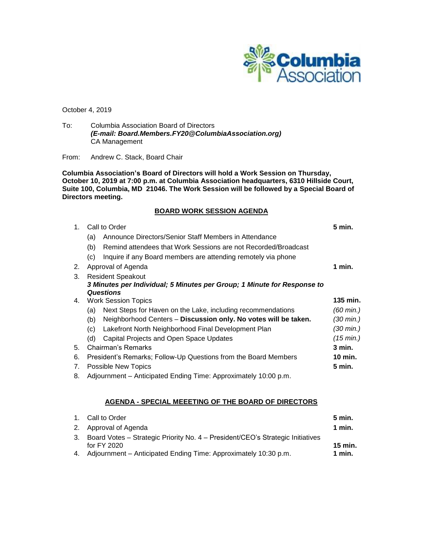

October 4, 2019

To: Columbia Association Board of Directors *(E-mail: Board.Members.FY20@ColumbiaAssociation.org)* CA Management

### From: Andrew C. Stack, Board Chair

**Columbia Association's Board of Directors will hold a Work Session on Thursday, October 10, 2019 at 7:00 p.m. at Columbia Association headquarters, 6310 Hillside Court, Suite 100, Columbia, MD 21046. The Work Session will be followed by a Special Board of Directors meeting.**

# **BOARD WORK SESSION AGENDA**

| $1_{-}$ | Call to Order                                                           |                                                                 | 5 min.    |
|---------|-------------------------------------------------------------------------|-----------------------------------------------------------------|-----------|
|         | (a)                                                                     | Announce Directors/Senior Staff Members in Attendance           |           |
|         | (b)                                                                     | Remind attendees that Work Sessions are not Recorded/Broadcast  |           |
|         | (c)                                                                     | Inquire if any Board members are attending remotely via phone   |           |
| 2.      |                                                                         | Approval of Agenda                                              | 1 min.    |
| 3.      | <b>Resident Speakout</b>                                                |                                                                 |           |
|         | 3 Minutes per Individual; 5 Minutes per Group; 1 Minute for Response to |                                                                 |           |
|         | <b>Questions</b>                                                        |                                                                 |           |
| 4.      | <b>Work Session Topics</b>                                              |                                                                 |           |
|         | (a)                                                                     | Next Steps for Haven on the Lake, including recommendations     | (60 min.) |
|         | (b)                                                                     | Neighborhood Centers - Discussion only. No votes will be taken. | (30 min.) |
|         | (c)                                                                     | Lakefront North Neighborhood Final Development Plan             | (30 min.) |
|         | (d)                                                                     | Capital Projects and Open Space Updates                         | (15 min.) |
| 5.      |                                                                         | Chairman's Remarks                                              | $3$ min.  |
| 6.      |                                                                         | President's Remarks; Follow-Up Questions from the Board Members | 10 min.   |
| 7.      | Possible New Topics                                                     |                                                                 | 5 min.    |
|         |                                                                         |                                                                 |           |

8. Adjournment – Anticipated Ending Time: Approximately 10:00 p.m.

## **AGENDA - SPECIAL MEEETING OF THE BOARD OF DIRECTORS**

|    | 1. Call to Order                                                                              | 5 min.   |
|----|-----------------------------------------------------------------------------------------------|----------|
|    | 2. Approval of Agenda                                                                         | 1 min.   |
| 3. | Board Votes - Strategic Priority No. 4 - President/CEO's Strategic Initiatives<br>for FY 2020 | 15 min.  |
|    | 4. Adjournment – Anticipated Ending Time: Approximately 10:30 p.m.                            | $1$ min. |